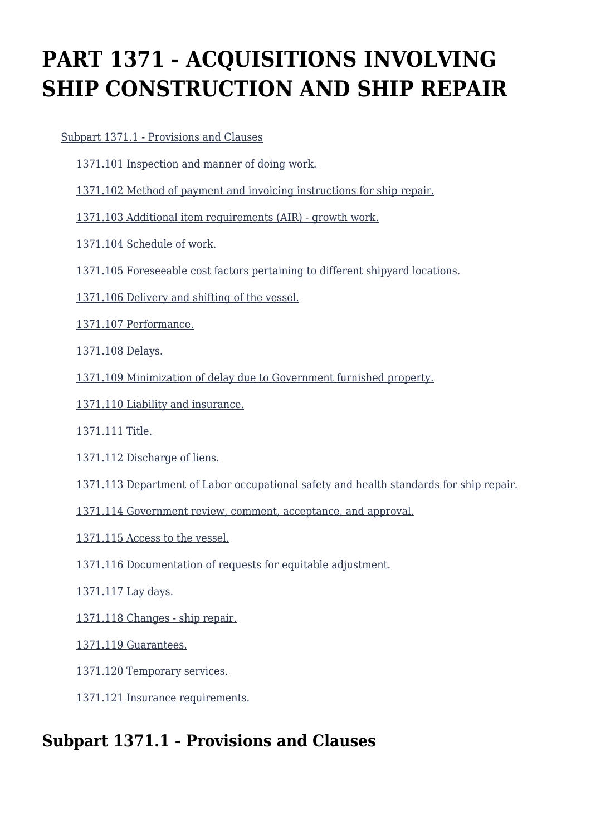# **PART 1371 - ACQUISITIONS INVOLVING SHIP CONSTRUCTION AND SHIP REPAIR**

[Subpart 1371.1 - Provisions and Clauses](https://login.acquisition.gov/%5Brp:link:car-part-1371%5D#Subpart_1371_1_T48_50651481)

- [1371.101 Inspection and manner of doing work.](https://login.acquisition.gov/%5Brp:link:car-part-1371%5D#Section_1371_101_T48_5065148111)
- [1371.102 Method of payment and invoicing instructions for ship repair.](https://login.acquisition.gov/%5Brp:link:car-part-1371%5D#Section_1371_102_T48_5065148112)
- [1371.103 Additional item requirements \(AIR\) growth work.](https://login.acquisition.gov/%5Brp:link:car-part-1371%5D#Section_1371_103_T48_5065148113)
- [1371.104 Schedule of work.](https://login.acquisition.gov/%5Brp:link:car-part-1371%5D#Section_1371_104_T48_5065148114)
- [1371.105 Foreseeable cost factors pertaining to different shipyard locations.](https://login.acquisition.gov/%5Brp:link:car-part-1371%5D#Section_1371_105_T48_5065148115)
- [1371.106 Delivery and shifting of the vessel.](https://login.acquisition.gov/%5Brp:link:car-part-1371%5D#Section_1371_106_T48_5065148116)
- [1371.107 Performance.](https://login.acquisition.gov/%5Brp:link:car-part-1371%5D#Section_1371_107_T48_5065148117)
- [1371.108 Delays.](https://login.acquisition.gov/%5Brp:link:car-part-1371%5D#Section_1371_108_T48_5065148118)
- [1371.109 Minimization of delay due to Government furnished property.](https://login.acquisition.gov/%5Brp:link:car-part-1371%5D#Section_1371_109_T48_5065148119)
- [1371.110 Liability and insurance.](https://login.acquisition.gov/%5Brp:link:car-part-1371%5D#Section_1371_110_T48_50651481110)
- [1371.111 Title.](https://login.acquisition.gov/%5Brp:link:car-part-1371%5D#Section_1371_111_T48_50651481111)
- [1371.112 Discharge of liens.](https://login.acquisition.gov/%5Brp:link:car-part-1371%5D#Section_1371_112_T48_50651481112)
- [1371.113 Department of Labor occupational safety and health standards for ship repair.](https://login.acquisition.gov/%5Brp:link:car-part-1371%5D#Section_1371_113_T48_50651481113)
- [1371.114 Government review, comment, acceptance, and approval.](https://login.acquisition.gov/%5Brp:link:car-part-1371%5D#Section_1371_114_T48_50651481114)
- [1371.115 Access to the vessel.](https://login.acquisition.gov/%5Brp:link:car-part-1371%5D#Section_1371_115_T48_50651481115)
- [1371.116 Documentation of requests for equitable adjustment.](https://login.acquisition.gov/%5Brp:link:car-part-1371%5D#Section_1371_116_T48_50651481116)
- [1371.117 Lay days.](https://login.acquisition.gov/%5Brp:link:car-part-1371%5D#Section_1371_117_T48_50651481117)
- [1371.118 Changes ship repair.](https://login.acquisition.gov/%5Brp:link:car-part-1371%5D#Section_1371_118_T48_50651481118)
- [1371.119 Guarantees.](https://login.acquisition.gov/%5Brp:link:car-part-1371%5D#Section_1371_119_T48_50651481119)
- [1371.120 Temporary services.](https://login.acquisition.gov/%5Brp:link:car-part-1371%5D#Section_1371_120_T48_50651481120)
- [1371.121 Insurance requirements.](https://login.acquisition.gov/%5Brp:link:car-part-1371%5D#Section_1371_121_T48_50651481121)

# **Subpart 1371.1 - Provisions and Clauses**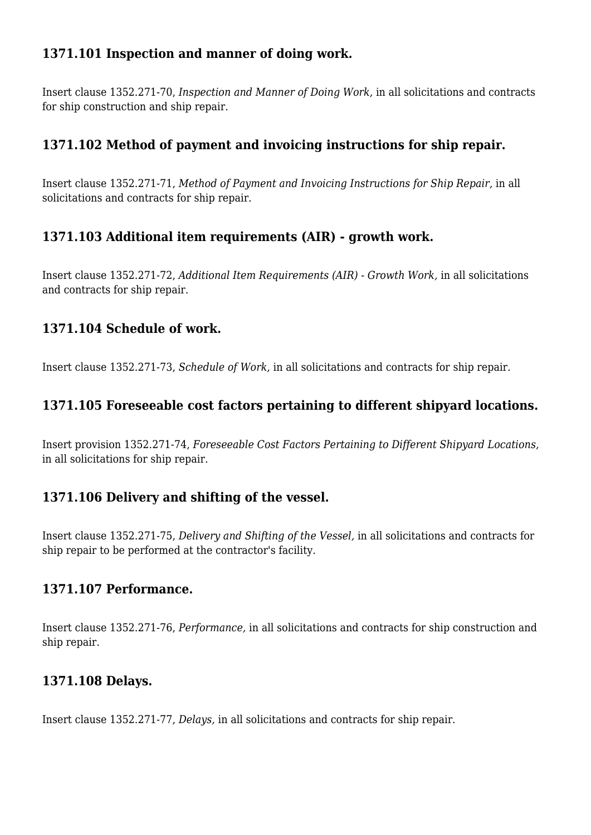# **1371.101 Inspection and manner of doing work.**

Insert clause 1352.271-70, *Inspection and Manner of Doing Work,* in all solicitations and contracts for ship construction and ship repair.

# **1371.102 Method of payment and invoicing instructions for ship repair.**

Insert clause 1352.271-71, *Method of Payment and Invoicing Instructions for Ship Repair,* in all solicitations and contracts for ship repair.

#### **1371.103 Additional item requirements (AIR) - growth work.**

Insert clause 1352.271-72, *Additional Item Requirements (AIR) - Growth Work,* in all solicitations and contracts for ship repair.

#### **1371.104 Schedule of work.**

Insert clause 1352.271-73, *Schedule of Work,* in all solicitations and contracts for ship repair.

#### **1371.105 Foreseeable cost factors pertaining to different shipyard locations.**

Insert provision 1352.271-74, *Foreseeable Cost Factors Pertaining to Different Shipyard Locations,* in all solicitations for ship repair.

#### **1371.106 Delivery and shifting of the vessel.**

Insert clause 1352.271-75, *Delivery and Shifting of the Vessel,* in all solicitations and contracts for ship repair to be performed at the contractor's facility.

#### **1371.107 Performance.**

Insert clause 1352.271-76, *Performance,* in all solicitations and contracts for ship construction and ship repair.

#### **1371.108 Delays.**

Insert clause 1352.271-77, *Delays,* in all solicitations and contracts for ship repair.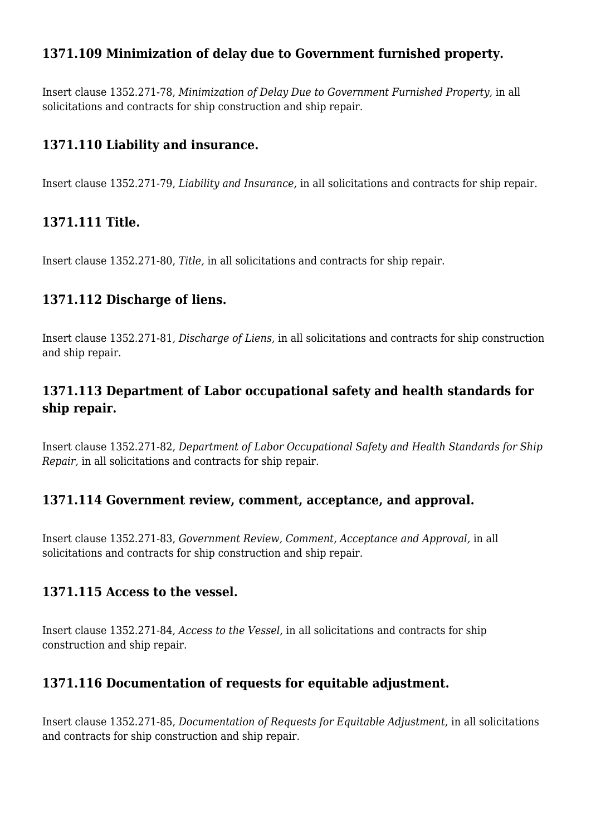# **1371.109 Minimization of delay due to Government furnished property.**

Insert clause 1352.271-78, *Minimization of Delay Due to Government Furnished Property,* in all solicitations and contracts for ship construction and ship repair.

#### **1371.110 Liability and insurance.**

Insert clause 1352.271-79, *Liability and Insurance,* in all solicitations and contracts for ship repair.

#### **1371.111 Title.**

Insert clause 1352.271-80, *Title,* in all solicitations and contracts for ship repair.

#### **1371.112 Discharge of liens.**

Insert clause 1352.271-81*, Discharge of Liens,* in all solicitations and contracts for ship construction and ship repair.

# **1371.113 Department of Labor occupational safety and health standards for ship repair.**

Insert clause 1352.271-82, *Department of Labor Occupational Safety and Health Standards for Ship Repair,* in all solicitations and contracts for ship repair.

#### **1371.114 Government review, comment, acceptance, and approval.**

Insert clause 1352.271-83, *Government Review, Comment, Acceptance and Approval,* in all solicitations and contracts for ship construction and ship repair.

#### **1371.115 Access to the vessel.**

Insert clause 1352.271-84, *Access to the Vessel,* in all solicitations and contracts for ship construction and ship repair.

#### **1371.116 Documentation of requests for equitable adjustment.**

Insert clause 1352.271-85, *Documentation of Requests for Equitable Adjustment,* in all solicitations and contracts for ship construction and ship repair.